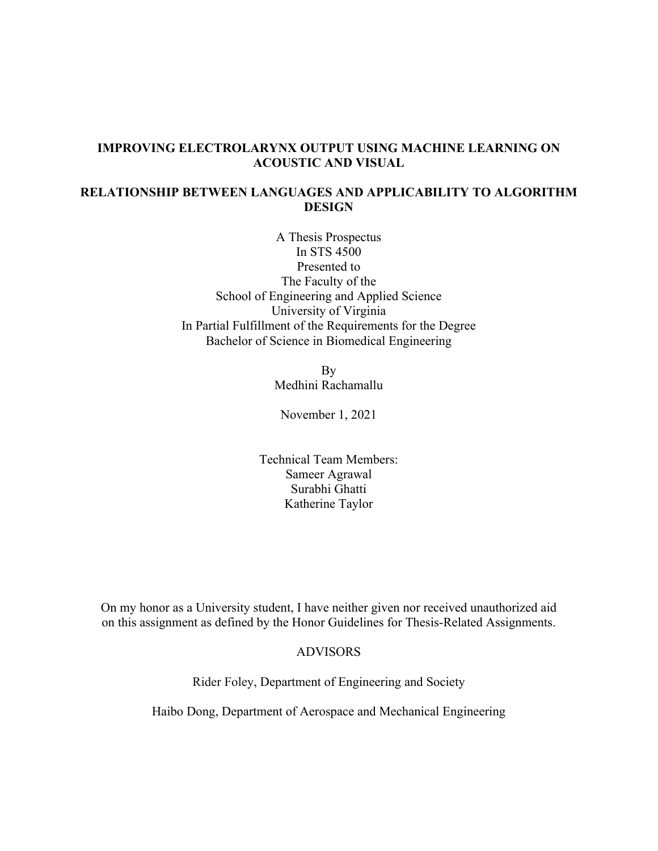### **IMPROVING ELECTROLARYNX OUTPUT USING MACHINE LEARNING ON ACOUSTIC AND VISUAL**

## **RELATIONSHIP BETWEEN LANGUAGES AND APPLICABILITY TO ALGORITHM DESIGN**

A Thesis Prospectus In STS 4500 Presented to The Faculty of the School of Engineering and Applied Science University of Virginia In Partial Fulfillment of the Requirements for the Degree Bachelor of Science in Biomedical Engineering

> By Medhini Rachamallu

November 1, 2021

Technical Team Members: Sameer Agrawal Surabhi Ghatti Katherine Taylor

On my honor as a University student, I have neither given nor received unauthorized aid on this assignment as defined by the Honor Guidelines for Thesis-Related Assignments.

### ADVISORS

Rider Foley, Department of Engineering and Society

Haibo Dong, Department of Aerospace and Mechanical Engineering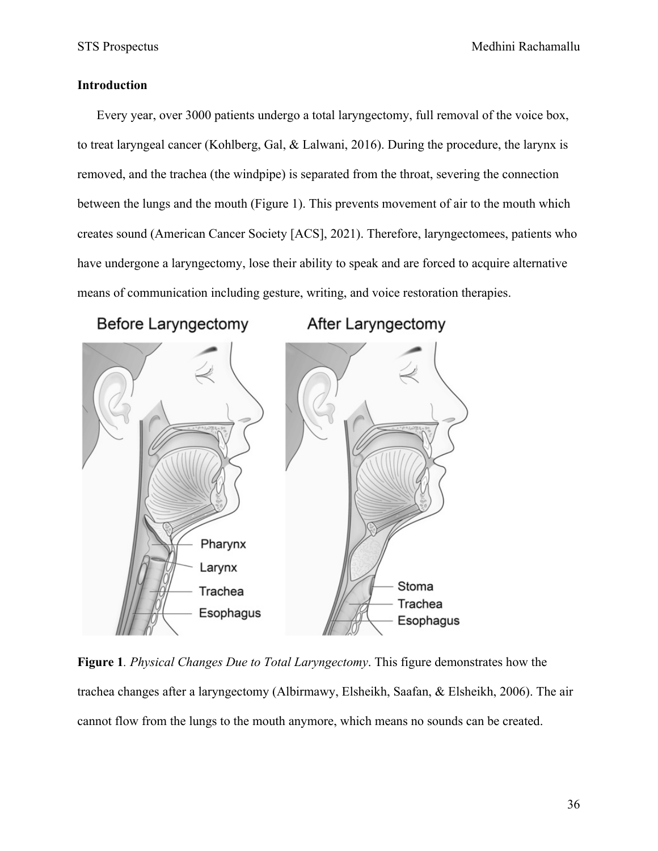# **Introduction**

Every year, over 3000 patients undergo a total laryngectomy, full removal of the voice box, to treat laryngeal cancer (Kohlberg, Gal, & Lalwani, 2016). During the procedure, the larynx is removed, and the trachea (the windpipe) is separated from the throat, severing the connection between the lungs and the mouth (Figure 1). This prevents movement of air to the mouth which creates sound (American Cancer Society [ACS], 2021). Therefore, laryngectomees, patients who have undergone a laryngectomy, lose their ability to speak and are forced to acquire alternative means of communication including gesture, writing, and voice restoration therapies.

After Laryngectomy

**Before Laryngectomy** 



**Figure 1***. Physical Changes Due to Total Laryngectomy*. This figure demonstrates how the trachea changes after a laryngectomy (Albirmawy, Elsheikh, Saafan, & Elsheikh, 2006). The air cannot flow from the lungs to the mouth anymore, which means no sounds can be created.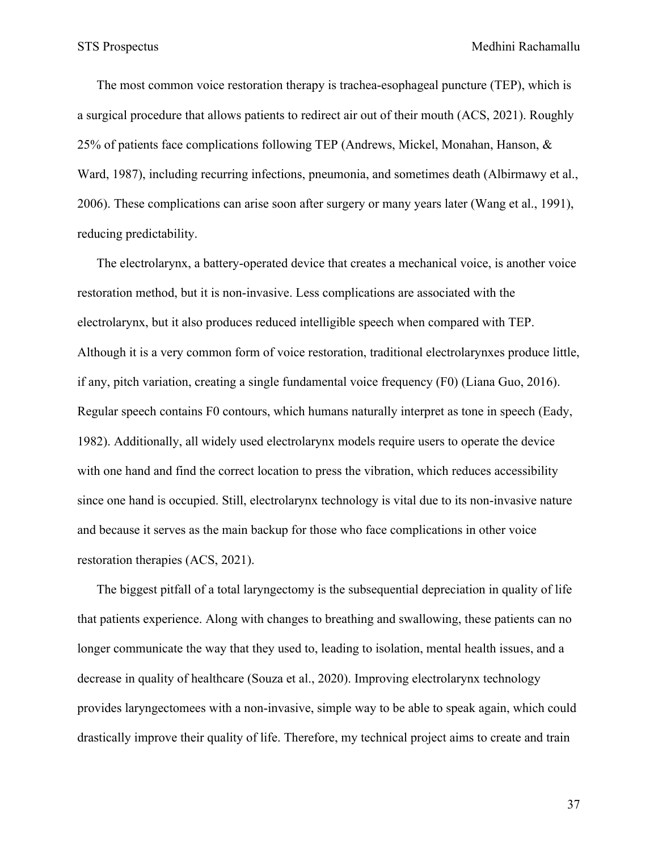The most common voice restoration therapy is trachea-esophageal puncture (TEP), which is a surgical procedure that allows patients to redirect air out of their mouth (ACS, 2021). Roughly 25% of patients face complications following TEP (Andrews, Mickel, Monahan, Hanson, & Ward, 1987), including recurring infections, pneumonia, and sometimes death (Albirmawy et al., 2006). These complications can arise soon after surgery or many years later (Wang et al., 1991), reducing predictability.

The electrolarynx, a battery-operated device that creates a mechanical voice, is another voice restoration method, but it is non-invasive. Less complications are associated with the electrolarynx, but it also produces reduced intelligible speech when compared with TEP. Although it is a very common form of voice restoration, traditional electrolarynxes produce little, if any, pitch variation, creating a single fundamental voice frequency (F0) (Liana Guo, 2016). Regular speech contains F0 contours, which humans naturally interpret as tone in speech (Eady, 1982). Additionally, all widely used electrolarynx models require users to operate the device with one hand and find the correct location to press the vibration, which reduces accessibility since one hand is occupied. Still, electrolarynx technology is vital due to its non-invasive nature and because it serves as the main backup for those who face complications in other voice restoration therapies (ACS, 2021).

The biggest pitfall of a total laryngectomy is the subsequential depreciation in quality of life that patients experience. Along with changes to breathing and swallowing, these patients can no longer communicate the way that they used to, leading to isolation, mental health issues, and a decrease in quality of healthcare (Souza et al., 2020). Improving electrolarynx technology provides laryngectomees with a non-invasive, simple way to be able to speak again, which could drastically improve their quality of life. Therefore, my technical project aims to create and train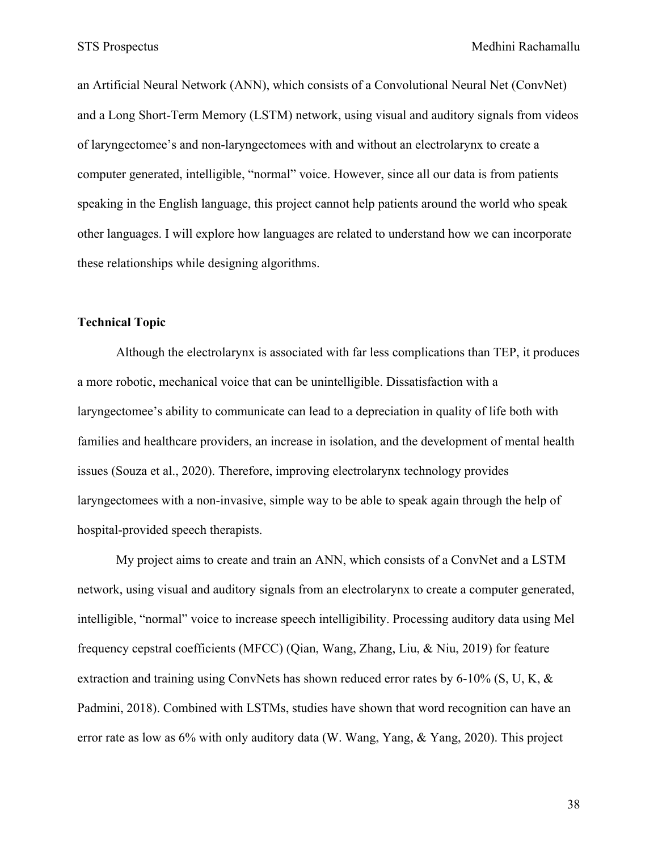STS Prospectus **Medhini Rachamallu** 

an Artificial Neural Network (ANN), which consists of a Convolutional Neural Net (ConvNet) and a Long Short-Term Memory (LSTM) network, using visual and auditory signals from videos of laryngectomee's and non-laryngectomees with and without an electrolarynx to create a computer generated, intelligible, "normal" voice. However, since all our data is from patients speaking in the English language, this project cannot help patients around the world who speak other languages. I will explore how languages are related to understand how we can incorporate these relationships while designing algorithms.

### **Technical Topic**

Although the electrolarynx is associated with far less complications than TEP, it produces a more robotic, mechanical voice that can be unintelligible. Dissatisfaction with a laryngectomee's ability to communicate can lead to a depreciation in quality of life both with families and healthcare providers, an increase in isolation, and the development of mental health issues (Souza et al., 2020). Therefore, improving electrolarynx technology provides laryngectomees with a non-invasive, simple way to be able to speak again through the help of hospital-provided speech therapists.

My project aims to create and train an ANN, which consists of a ConvNet and a LSTM network, using visual and auditory signals from an electrolarynx to create a computer generated, intelligible, "normal" voice to increase speech intelligibility. Processing auditory data using Mel frequency cepstral coefficients (MFCC) (Qian, Wang, Zhang, Liu, & Niu, 2019) for feature extraction and training using ConvNets has shown reduced error rates by 6-10% (S, U, K,  $\&$ Padmini, 2018). Combined with LSTMs, studies have shown that word recognition can have an error rate as low as 6% with only auditory data (W. Wang, Yang, & Yang, 2020). This project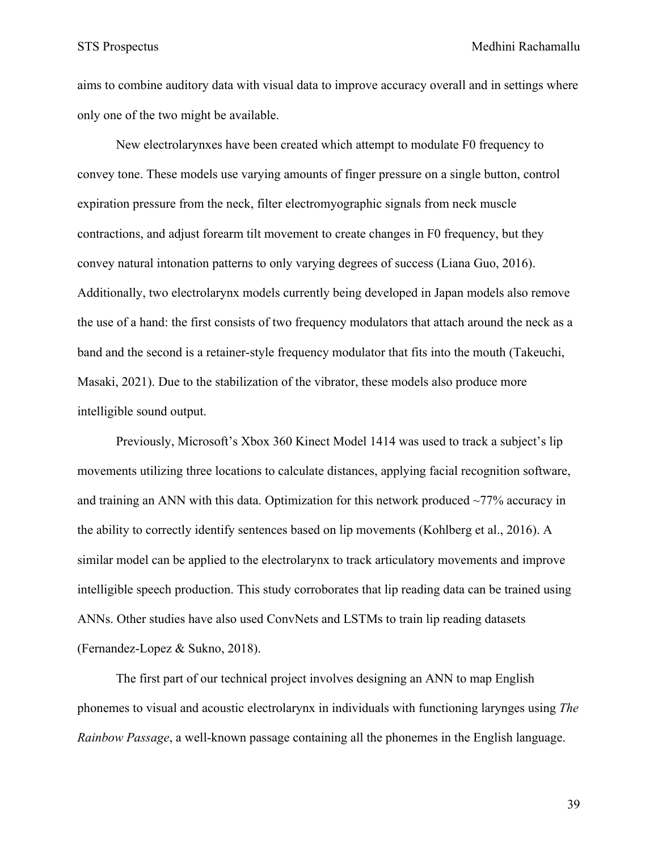aims to combine auditory data with visual data to improve accuracy overall and in settings where only one of the two might be available.

New electrolarynxes have been created which attempt to modulate F0 frequency to convey tone. These models use varying amounts of finger pressure on a single button, control expiration pressure from the neck, filter electromyographic signals from neck muscle contractions, and adjust forearm tilt movement to create changes in F0 frequency, but they convey natural intonation patterns to only varying degrees of success (Liana Guo, 2016). Additionally, two electrolarynx models currently being developed in Japan models also remove the use of a hand: the first consists of two frequency modulators that attach around the neck as a band and the second is a retainer-style frequency modulator that fits into the mouth (Takeuchi, Masaki, 2021). Due to the stabilization of the vibrator, these models also produce more intelligible sound output.

Previously, Microsoft's Xbox 360 Kinect Model 1414 was used to track a subject's lip movements utilizing three locations to calculate distances, applying facial recognition software, and training an ANN with this data. Optimization for this network produced  $\sim$ 77% accuracy in the ability to correctly identify sentences based on lip movements (Kohlberg et al., 2016). A similar model can be applied to the electrolarynx to track articulatory movements and improve intelligible speech production. This study corroborates that lip reading data can be trained using ANNs. Other studies have also used ConvNets and LSTMs to train lip reading datasets (Fernandez-Lopez & Sukno, 2018).

The first part of our technical project involves designing an ANN to map English phonemes to visual and acoustic electrolarynx in individuals with functioning larynges using *The Rainbow Passage*, a well-known passage containing all the phonemes in the English language.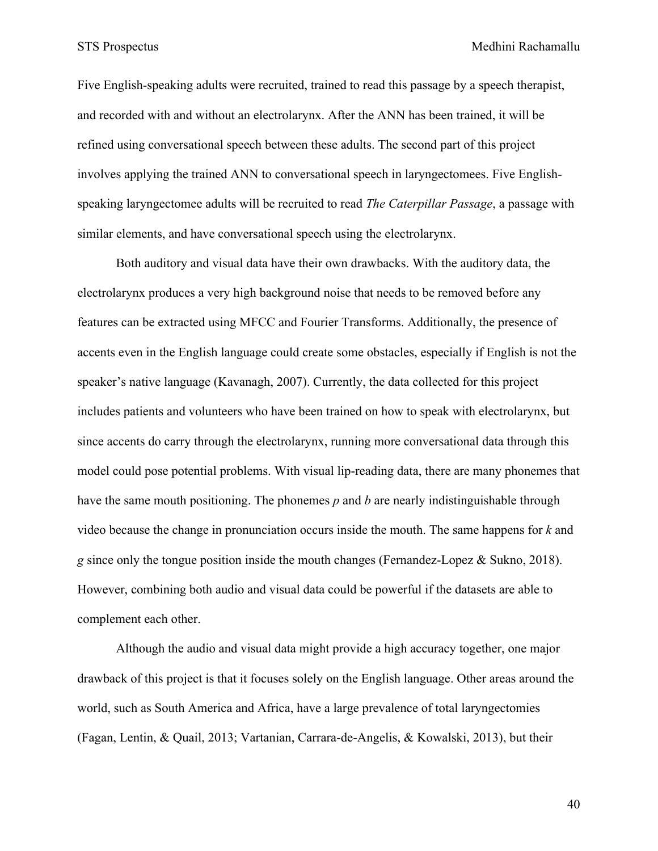Five English-speaking adults were recruited, trained to read this passage by a speech therapist, and recorded with and without an electrolarynx. After the ANN has been trained, it will be refined using conversational speech between these adults. The second part of this project involves applying the trained ANN to conversational speech in laryngectomees. Five Englishspeaking laryngectomee adults will be recruited to read *The Caterpillar Passage*, a passage with similar elements, and have conversational speech using the electrolarynx.

Both auditory and visual data have their own drawbacks. With the auditory data, the electrolarynx produces a very high background noise that needs to be removed before any features can be extracted using MFCC and Fourier Transforms. Additionally, the presence of accents even in the English language could create some obstacles, especially if English is not the speaker's native language (Kavanagh, 2007). Currently, the data collected for this project includes patients and volunteers who have been trained on how to speak with electrolarynx, but since accents do carry through the electrolarynx, running more conversational data through this model could pose potential problems. With visual lip-reading data, there are many phonemes that have the same mouth positioning. The phonemes *p* and *b* are nearly indistinguishable through video because the change in pronunciation occurs inside the mouth. The same happens for *k* and *g* since only the tongue position inside the mouth changes (Fernandez-Lopez & Sukno, 2018). However, combining both audio and visual data could be powerful if the datasets are able to complement each other.

Although the audio and visual data might provide a high accuracy together, one major drawback of this project is that it focuses solely on the English language. Other areas around the world, such as South America and Africa, have a large prevalence of total laryngectomies (Fagan, Lentin, & Quail, 2013; Vartanian, Carrara-de-Angelis, & Kowalski, 2013), but their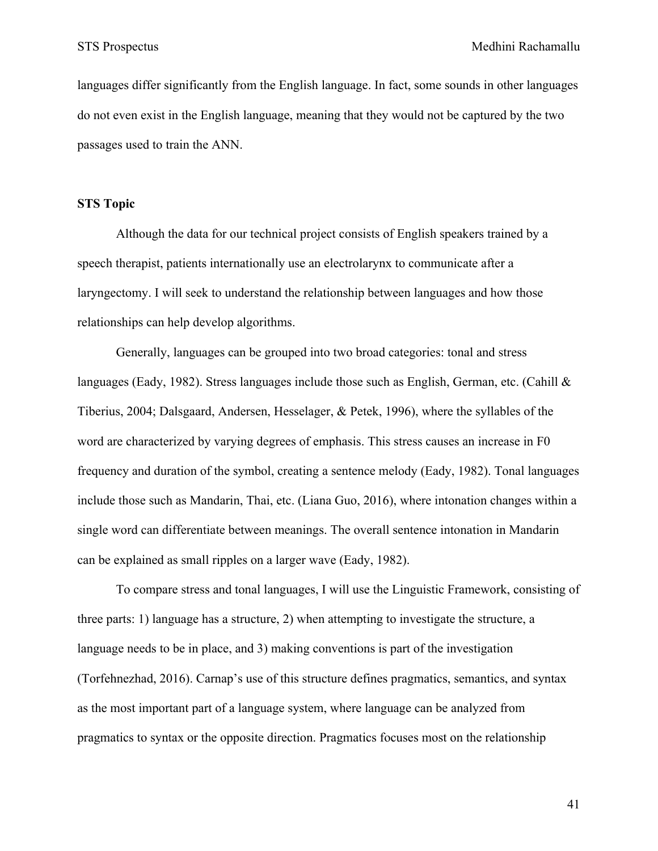languages differ significantly from the English language. In fact, some sounds in other languages do not even exist in the English language, meaning that they would not be captured by the two passages used to train the ANN.

### **STS Topic**

Although the data for our technical project consists of English speakers trained by a speech therapist, patients internationally use an electrolarynx to communicate after a laryngectomy. I will seek to understand the relationship between languages and how those relationships can help develop algorithms.

Generally, languages can be grouped into two broad categories: tonal and stress languages (Eady, 1982). Stress languages include those such as English, German, etc. (Cahill  $\&$ Tiberius, 2004; Dalsgaard, Andersen, Hesselager, & Petek, 1996), where the syllables of the word are characterized by varying degrees of emphasis. This stress causes an increase in F0 frequency and duration of the symbol, creating a sentence melody (Eady, 1982). Tonal languages include those such as Mandarin, Thai, etc. (Liana Guo, 2016), where intonation changes within a single word can differentiate between meanings. The overall sentence intonation in Mandarin can be explained as small ripples on a larger wave (Eady, 1982).

To compare stress and tonal languages, I will use the Linguistic Framework, consisting of three parts: 1) language has a structure, 2) when attempting to investigate the structure, a language needs to be in place, and 3) making conventions is part of the investigation (Torfehnezhad, 2016). Carnap's use of this structure defines pragmatics, semantics, and syntax as the most important part of a language system, where language can be analyzed from pragmatics to syntax or the opposite direction. Pragmatics focuses most on the relationship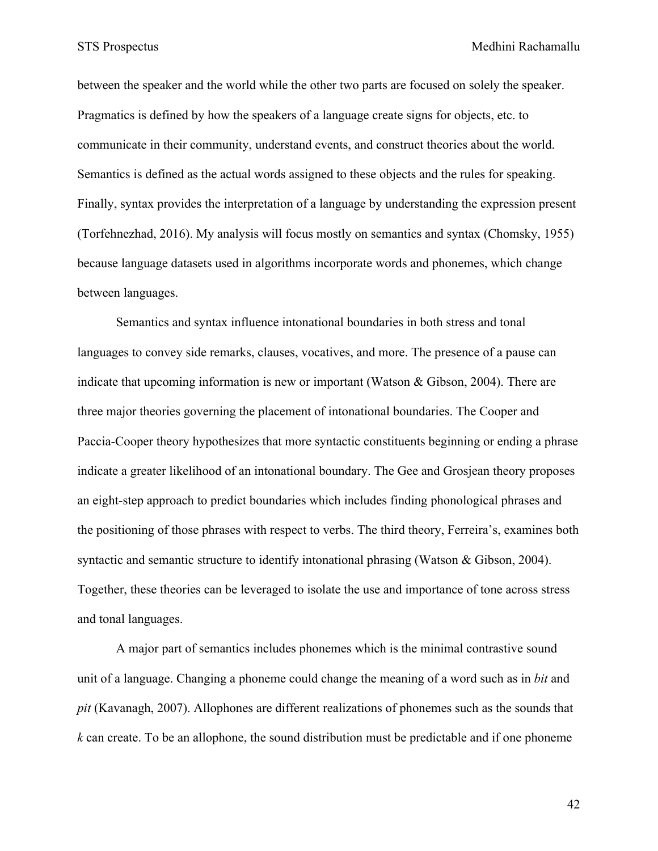between the speaker and the world while the other two parts are focused on solely the speaker. Pragmatics is defined by how the speakers of a language create signs for objects, etc. to communicate in their community, understand events, and construct theories about the world. Semantics is defined as the actual words assigned to these objects and the rules for speaking. Finally, syntax provides the interpretation of a language by understanding the expression present (Torfehnezhad, 2016). My analysis will focus mostly on semantics and syntax (Chomsky, 1955) because language datasets used in algorithms incorporate words and phonemes, which change between languages.

Semantics and syntax influence intonational boundaries in both stress and tonal languages to convey side remarks, clauses, vocatives, and more. The presence of a pause can indicate that upcoming information is new or important (Watson & Gibson, 2004). There are three major theories governing the placement of intonational boundaries. The Cooper and Paccia-Cooper theory hypothesizes that more syntactic constituents beginning or ending a phrase indicate a greater likelihood of an intonational boundary. The Gee and Grosjean theory proposes an eight-step approach to predict boundaries which includes finding phonological phrases and the positioning of those phrases with respect to verbs. The third theory, Ferreira's, examines both syntactic and semantic structure to identify intonational phrasing (Watson & Gibson, 2004). Together, these theories can be leveraged to isolate the use and importance of tone across stress and tonal languages.

A major part of semantics includes phonemes which is the minimal contrastive sound unit of a language. Changing a phoneme could change the meaning of a word such as in *bit* and *pit* (Kavanagh, 2007). Allophones are different realizations of phonemes such as the sounds that *k* can create. To be an allophone, the sound distribution must be predictable and if one phoneme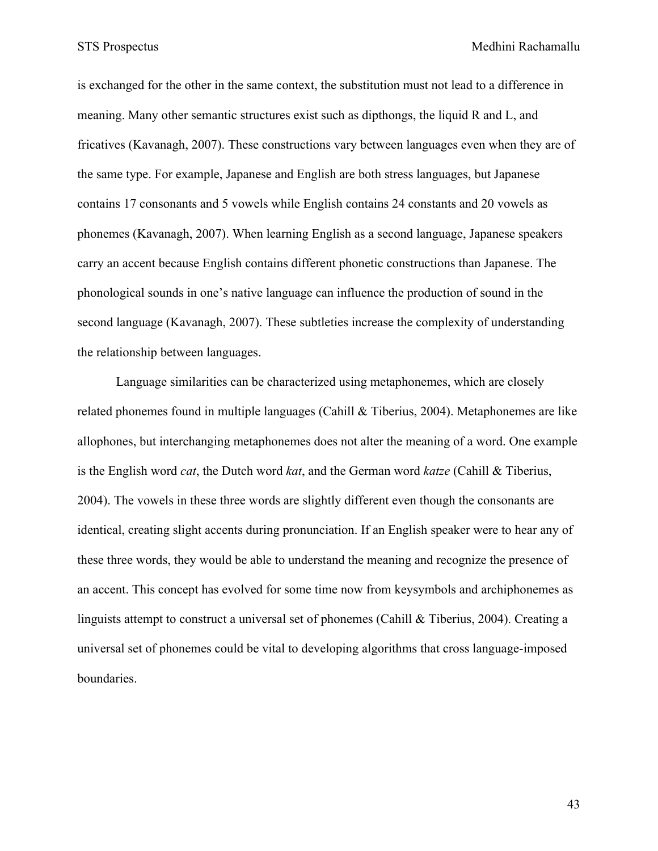is exchanged for the other in the same context, the substitution must not lead to a difference in meaning. Many other semantic structures exist such as dipthongs, the liquid R and L, and fricatives (Kavanagh, 2007). These constructions vary between languages even when they are of the same type. For example, Japanese and English are both stress languages, but Japanese contains 17 consonants and 5 vowels while English contains 24 constants and 20 vowels as phonemes (Kavanagh, 2007). When learning English as a second language, Japanese speakers carry an accent because English contains different phonetic constructions than Japanese. The phonological sounds in one's native language can influence the production of sound in the second language (Kavanagh, 2007). These subtleties increase the complexity of understanding the relationship between languages.

Language similarities can be characterized using metaphonemes, which are closely related phonemes found in multiple languages (Cahill & Tiberius, 2004). Metaphonemes are like allophones, but interchanging metaphonemes does not alter the meaning of a word. One example is the English word *cat*, the Dutch word *kat*, and the German word *katze* (Cahill & Tiberius, 2004). The vowels in these three words are slightly different even though the consonants are identical, creating slight accents during pronunciation. If an English speaker were to hear any of these three words, they would be able to understand the meaning and recognize the presence of an accent. This concept has evolved for some time now from keysymbols and archiphonemes as linguists attempt to construct a universal set of phonemes (Cahill & Tiberius, 2004). Creating a universal set of phonemes could be vital to developing algorithms that cross language-imposed boundaries.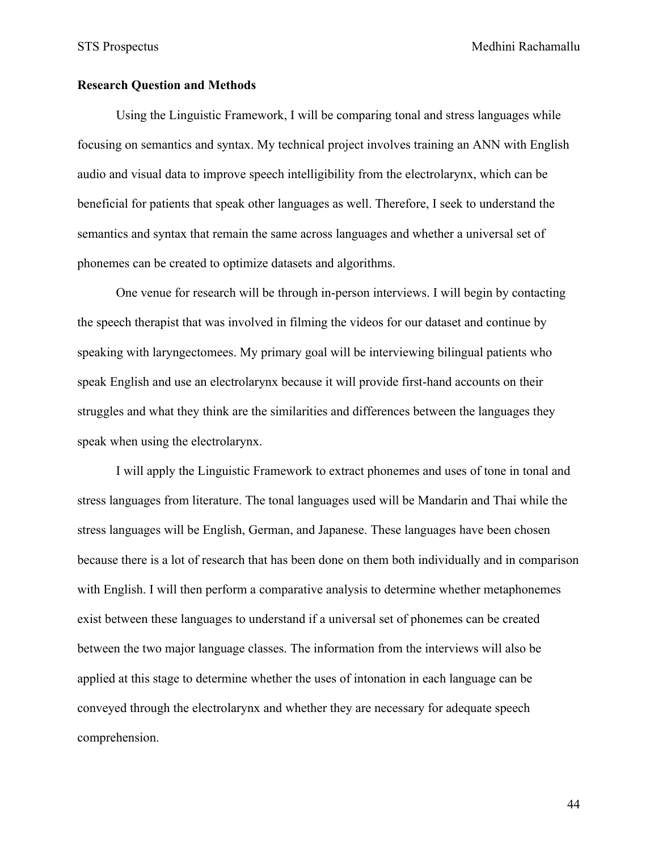STS Prospectus Medhini Rachamallu

#### **Research Question and Methods**

Using the Linguistic Framework, I will be comparing tonal and stress languages while focusing on semantics and syntax. My technical project involves training an ANN with English audio and visual data to improve speech intelligibility from the electrolarynx, which can be beneficial for patients that speak other languages as well. Therefore, I seek to understand the semantics and syntax that remain the same across languages and whether a universal set of phonemes can be created to optimize datasets and algorithms.

One venue for research will be through in-person interviews. I will begin by contacting the speech therapist that was involved in filming the videos for our dataset and continue by speaking with laryngectomees. My primary goal will be interviewing bilingual patients who speak English and use an electrolarynx because it will provide first-hand accounts on their struggles and what they think are the similarities and differences between the languages they speak when using the electrolarynx.

I will apply the Linguistic Framework to extract phonemes and uses of tone in tonal and stress languages from literature. The tonal languages used will be Mandarin and Thai while the stress languages will be English, German, and Japanese. These languages have been chosen because there is a lot of research that has been done on them both individually and in comparison with English. I will then perform a comparative analysis to determine whether metaphonemes exist between these languages to understand if a universal set of phonemes can be created between the two major language classes. The information from the interviews will also be applied at this stage to determine whether the uses of intonation in each language can be conveyed through the electrolarynx and whether they are necessary for adequate speech comprehension.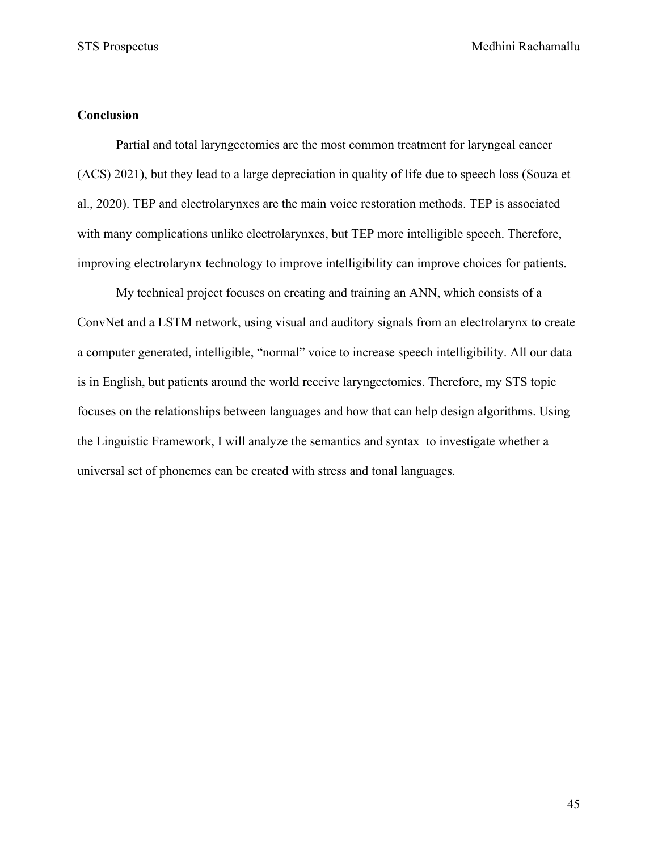# **Conclusion**

Partial and total laryngectomies are the most common treatment for laryngeal cancer (ACS) 2021), but they lead to a large depreciation in quality of life due to speech loss (Souza et al., 2020). TEP and electrolarynxes are the main voice restoration methods. TEP is associated with many complications unlike electrolarynxes, but TEP more intelligible speech. Therefore, improving electrolarynx technology to improve intelligibility can improve choices for patients.

My technical project focuses on creating and training an ANN, which consists of a ConvNet and a LSTM network, using visual and auditory signals from an electrolarynx to create a computer generated, intelligible, "normal" voice to increase speech intelligibility. All our data is in English, but patients around the world receive laryngectomies. Therefore, my STS topic focuses on the relationships between languages and how that can help design algorithms. Using the Linguistic Framework, I will analyze the semantics and syntax to investigate whether a universal set of phonemes can be created with stress and tonal languages.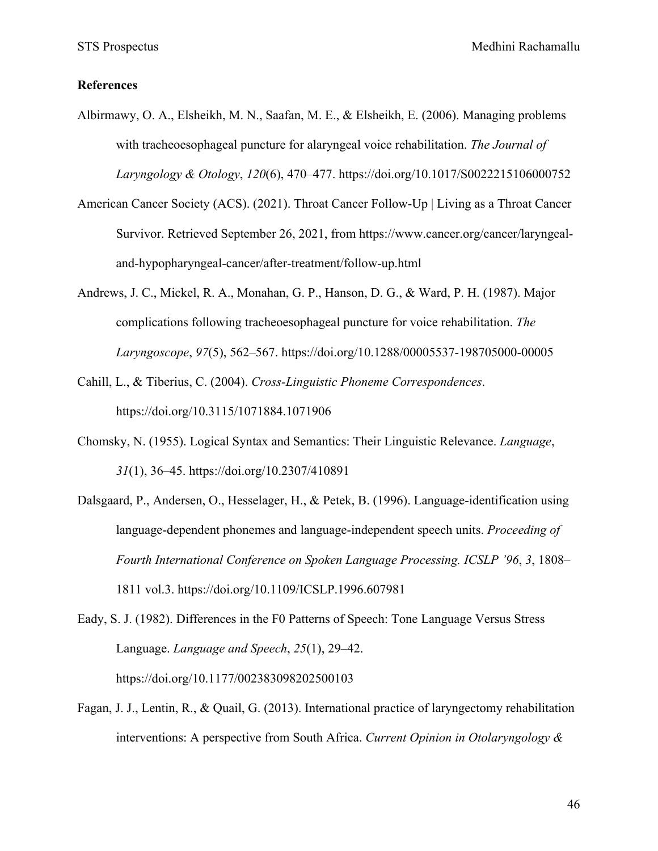STS Prospectus Medhini Rachamallu

#### **References**

- Albirmawy, O. A., Elsheikh, M. N., Saafan, M. E., & Elsheikh, E. (2006). Managing problems with tracheoesophageal puncture for alaryngeal voice rehabilitation. *The Journal of Laryngology & Otology*, *120*(6), 470–477. https://doi.org/10.1017/S0022215106000752
- American Cancer Society (ACS). (2021). Throat Cancer Follow-Up | Living as a Throat Cancer Survivor. Retrieved September 26, 2021, from https://www.cancer.org/cancer/laryngealand-hypopharyngeal-cancer/after-treatment/follow-up.html
- Andrews, J. C., Mickel, R. A., Monahan, G. P., Hanson, D. G., & Ward, P. H. (1987). Major complications following tracheoesophageal puncture for voice rehabilitation. *The Laryngoscope*, *97*(5), 562–567. https://doi.org/10.1288/00005537-198705000-00005
- Cahill, L., & Tiberius, C. (2004). *Cross-Linguistic Phoneme Correspondences*. https://doi.org/10.3115/1071884.1071906
- Chomsky, N. (1955). Logical Syntax and Semantics: Their Linguistic Relevance. *Language*, *31*(1), 36–45. https://doi.org/10.2307/410891
- Dalsgaard, P., Andersen, O., Hesselager, H., & Petek, B. (1996). Language-identification using language-dependent phonemes and language-independent speech units. *Proceeding of Fourth International Conference on Spoken Language Processing. ICSLP '96*, *3*, 1808– 1811 vol.3. https://doi.org/10.1109/ICSLP.1996.607981

Eady, S. J. (1982). Differences in the F0 Patterns of Speech: Tone Language Versus Stress Language. *Language and Speech*, *25*(1), 29–42. https://doi.org/10.1177/002383098202500103

Fagan, J. J., Lentin, R., & Quail, G. (2013). International practice of laryngectomy rehabilitation interventions: A perspective from South Africa. *Current Opinion in Otolaryngology &*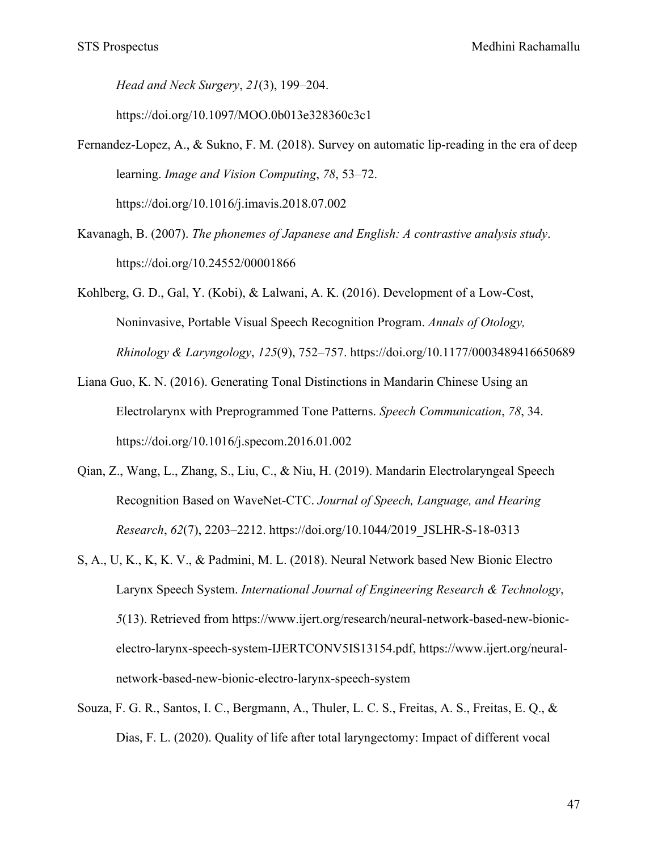*Head and Neck Surgery*, *21*(3), 199–204.

https://doi.org/10.1097/MOO.0b013e328360c3c1

- Fernandez-Lopez, A., & Sukno, F. M. (2018). Survey on automatic lip-reading in the era of deep learning. *Image and Vision Computing*, *78*, 53–72. https://doi.org/10.1016/j.imavis.2018.07.002
- Kavanagh, B. (2007). *The phonemes of Japanese and English: A contrastive analysis study*. https://doi.org/10.24552/00001866

Kohlberg, G. D., Gal, Y. (Kobi), & Lalwani, A. K. (2016). Development of a Low-Cost, Noninvasive, Portable Visual Speech Recognition Program. *Annals of Otology, Rhinology & Laryngology*, *125*(9), 752–757. https://doi.org/10.1177/0003489416650689

- Liana Guo, K. N. (2016). Generating Tonal Distinctions in Mandarin Chinese Using an Electrolarynx with Preprogrammed Tone Patterns. *Speech Communication*, *78*, 34. https://doi.org/10.1016/j.specom.2016.01.002
- Qian, Z., Wang, L., Zhang, S., Liu, C., & Niu, H. (2019). Mandarin Electrolaryngeal Speech Recognition Based on WaveNet-CTC. *Journal of Speech, Language, and Hearing Research*, *62*(7), 2203–2212. https://doi.org/10.1044/2019\_JSLHR-S-18-0313
- S, A., U, K., K, K. V., & Padmini, M. L. (2018). Neural Network based New Bionic Electro Larynx Speech System. *International Journal of Engineering Research & Technology*, *5*(13). Retrieved from https://www.ijert.org/research/neural-network-based-new-bionicelectro-larynx-speech-system-IJERTCONV5IS13154.pdf, https://www.ijert.org/neuralnetwork-based-new-bionic-electro-larynx-speech-system
- Souza, F. G. R., Santos, I. C., Bergmann, A., Thuler, L. C. S., Freitas, A. S., Freitas, E. Q., & Dias, F. L. (2020). Quality of life after total laryngectomy: Impact of different vocal